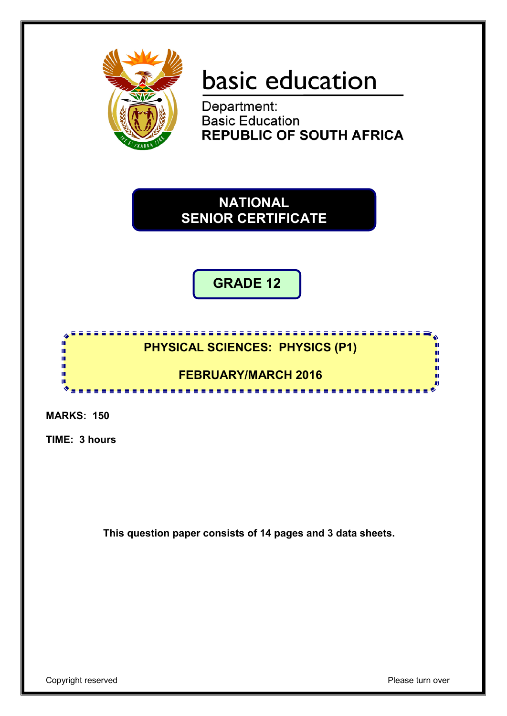

# basic education

Department: **Basic Education REPUBLIC OF SOUTH AFRICA** 

**NATIONAL SENIOR CERTIFICATE**

**GRADE 12**

#### **PHYSICAL SCIENCES: PHYSICS (P1)**

# **FEBRUARY/MARCH 2016**

---------

**MARKS: 150**

'n I. ú, **II** T œ

**TIME: 3 hours**

**This question paper consists of 14 pages and 3 data sheets.**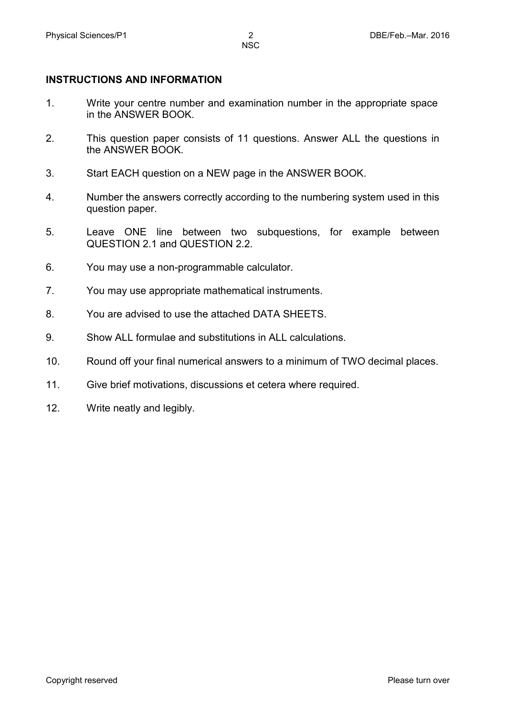#### **INSTRUCTIONS AND INFORMATION**

- 1. Write your centre number and examination number in the appropriate space in the ANSWER BOOK.
- 2. This question paper consists of 11 questions. Answer ALL the questions in the ANSWER BOOK.
- 3. Start EACH question on a NEW page in the ANSWER BOOK.
- 4. Number the answers correctly according to the numbering system used in this question paper.
- 5. Leave ONE line between two subquestions, for example between QUESTION 2.1 and QUESTION 2.2.
- 6. You may use a non-programmable calculator.
- 7. You may use appropriate mathematical instruments.
- 8. You are advised to use the attached DATA SHEETS.
- 9. Show ALL formulae and substitutions in ALL calculations.
- 10. Round off your final numerical answers to a minimum of TWO decimal places.
- 11. Give brief motivations, discussions et cetera where required.
- 12. Write neatly and legibly.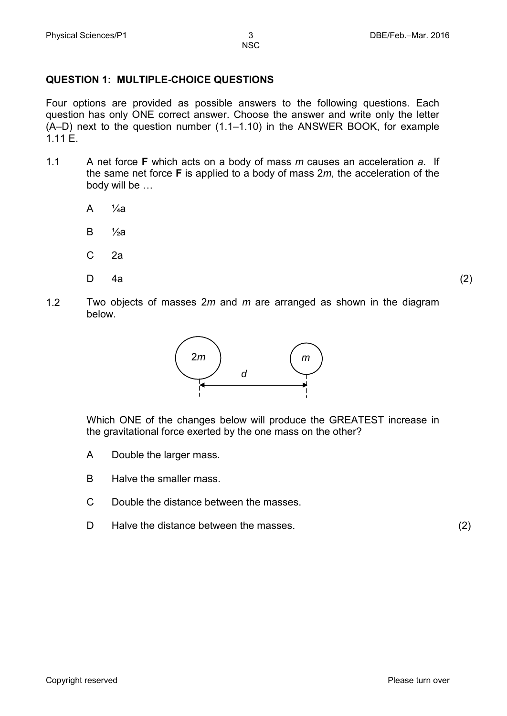#### **QUESTION 1: MULTIPLE-CHOICE QUESTIONS**

Four options are provided as possible answers to the following questions. Each question has only ONE correct answer. Choose the answer and write only the letter (A–D) next to the question number (1.1–1.10) in the ANSWER BOOK, for example  $1.1 \text{ F}$ 

- 1.1 A net force **F** which acts on a body of mass *m* causes an acceleration *a*. If the same net force **F** is applied to a body of mass 2*m*, the acceleration of the body will be …
	- A  $\frac{1}{4}a$
	- B  $\frac{1}{2}a$
	- C 2a
	- D

4a (2)

1.2 Two objects of masses 2*m* and *m* are arranged as shown in the diagram below.



Which ONE of the changes below will produce the GREATEST increase in the gravitational force exerted by the one mass on the other?

- A Double the larger mass.
- B Halve the smaller mass.
- $\mathcal{C}$ Double the distance between the masses.
- D Halve the distance between the masses. (2)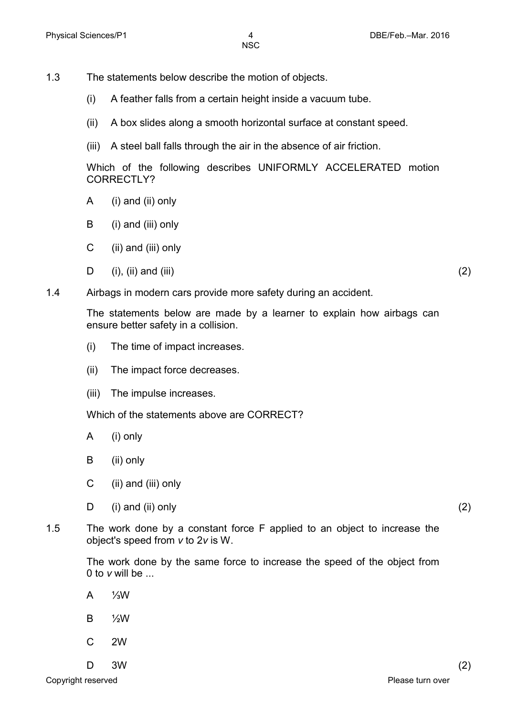- 1.3 The statements below describe the motion of objects.
	- (i) A feather falls from a certain height inside a vacuum tube.
	- (ii) A box slides along a smooth horizontal surface at constant speed.
	- (iii) A steel ball falls through the air in the absence of air friction.

Which of the following describes UNIFORMLY ACCELERATED motion CORRECTLY?

- A (i) and (ii) only
- B (i) and (iii) only
- $\mathcal{C}$ (ii) and (iii) only
- D  $(i)$ ,  $(ii)$  and  $(iii)$  (2)
- 1.4 Airbags in modern cars provide more safety during an accident.

The statements below are made by a learner to explain how airbags can ensure better safety in a collision.

- (i) The time of impact increases.
- (ii) The impact force decreases.
- (iii) The impulse increases.

Which of the statements above are CORRECT?

- A (i) only
- B (ii) only
- C (ii) and (iii) only
- D  $(i)$  and  $(ii)$  only  $(2)$
- 1.5 The work done by a constant force F applied to an object to increase the object's speed from *v* to 2*v* is W.

The work done by the same force to increase the speed of the object from 0 to *v* will be ...

- A ⅓W
- B ½W
- C 2W
- $\mathsf{D}$  $3W$  (2)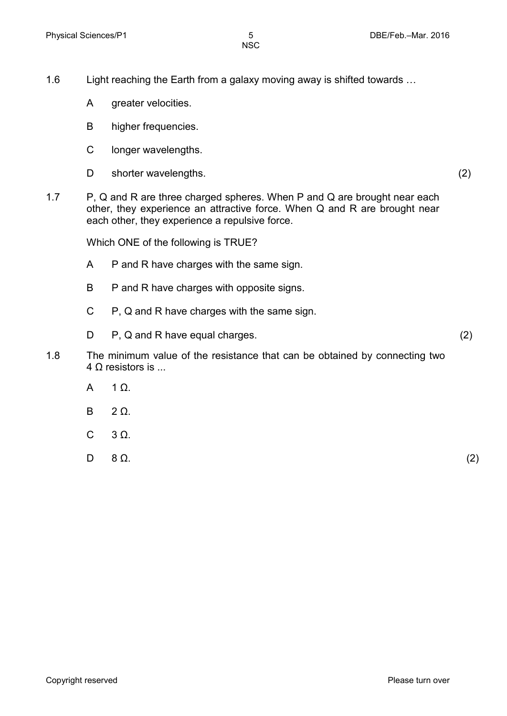- 1.6 Light reaching the Earth from a galaxy moving away is shifted towards …
	- A greater velocities.
	- B higher frequencies.
	- C longer wavelengths.
	- D shorter wavelengths. (2)
- 1.7 P, Q and R are three charged spheres. When P and Q are brought near each other, they experience an attractive force. When Q and R are brought near each other, they experience a repulsive force.

Which ONE of the following is TRUE?

- A P and R have charges with the same sign.
- B P and R have charges with opposite signs.
- C P, Q and R have charges with the same sign.
- D P, Q and R have equal charges. (2)
- 1.8 The minimum value of the resistance that can be obtained by connecting two  $4 \Omega$  resistors is ...
	- A 1 Ω.
	- B  $2 \Omega$ .
	- C 3 Ω.

D  $8 \Omega$ . (2)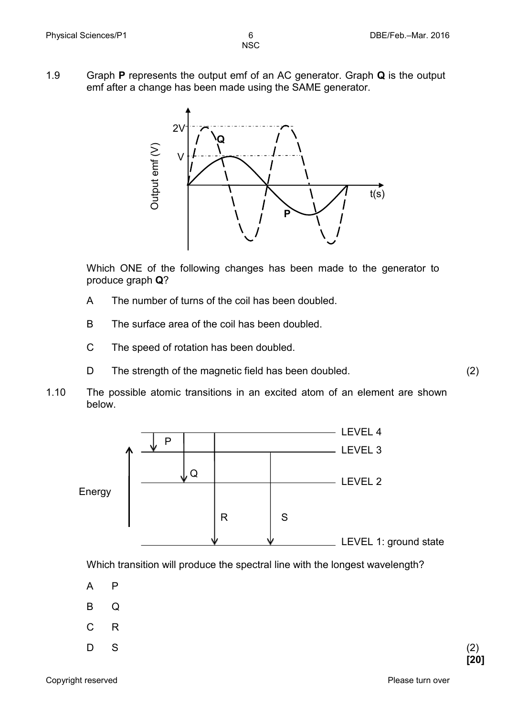- **NSC**
- 1.9 Graph **P** represents the output emf of an AC generator. Graph **Q** is the output emf after a change has been made using the SAME generator.



Which ONE of the following changes has been made to the generator to produce graph **Q**?

- A The number of turns of the coil has been doubled.
- B The surface area of the coil has been doubled.
- C The speed of rotation has been doubled.
- D The strength of the magnetic field has been doubled. (2)
- 1.10 The possible atomic transitions in an excited atom of an element are shown below.



Which transition will produce the spectral line with the longest wavelength?

- A P
- B Q
- C R
- D  $S$  (2)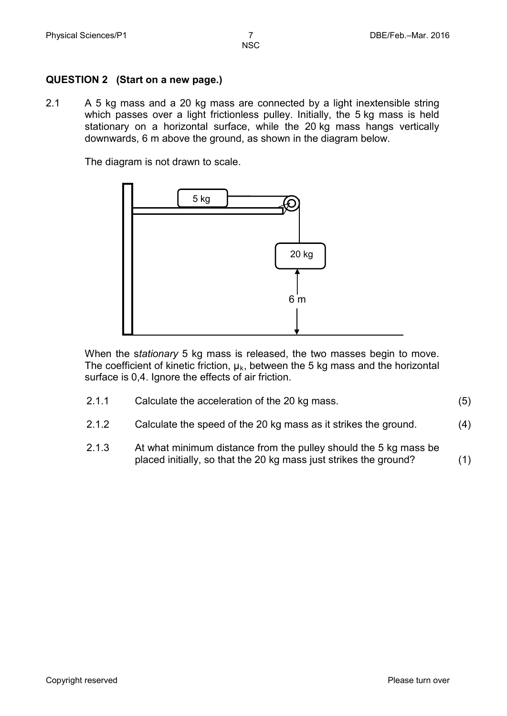#### **QUESTION 2 (Start on a new page.)**

2.1 A 5 kg mass and a 20 kg mass are connected by a light inextensible string which passes over a light frictionless pulley. Initially, the 5 kg mass is held stationary on a horizontal surface, while the 20 kg mass hangs vertically downwards, 6 m above the ground, as shown in the diagram below.

The diagram is not drawn to scale.



When the s*tationary* 5 kg mass is released, the two masses begin to move. The coefficient of kinetic friction,  $\mu_k$ , between the 5 kg mass and the horizontal surface is 0,4. Ignore the effects of air friction.

| 2.1.1 | Calculate the acceleration of the 20 kg mass. |  |
|-------|-----------------------------------------------|--|
|-------|-----------------------------------------------|--|

- 2.1.2 Calculate the speed of the 20 kg mass as it strikes the ground. (4)
- 2.1.3 At what minimum distance from the pulley should the 5 kg mass be placed initially, so that the 20 kg mass just strikes the ground? (1)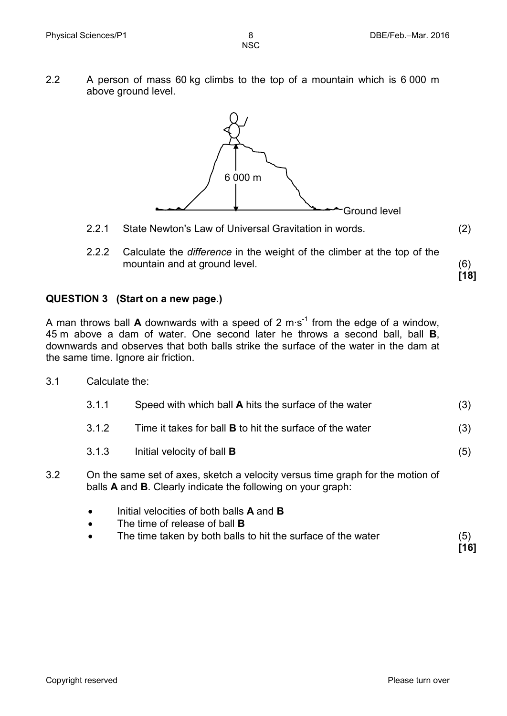2.2 A person of mass 60 kg climbs to the top of a mountain which is 6 000 m above ground level.



- 2.2.1 State Newton's Law of Universal Gravitation in words. (2)
- 2.2.2 Calculate the *difference* in the weight of the climber at the top of the mountain and at ground level. (6)

**QUESTION 3 (Start on a new page.)**

A man throws ball **A** downwards with a speed of 2 m∙s-1 from the edge of a window, 45 m above a dam of water. One second later he throws a second ball, ball **B**, downwards and observes that both balls strike the surface of the water in the dam at the same time. Ignore air friction.

3.1 Calculate the:

| 3.1.1 | Speed with which ball A hits the surface of the water           | (3) |
|-------|-----------------------------------------------------------------|-----|
| 3.1.2 | Time it takes for ball <b>B</b> to hit the surface of the water | (3) |
| 3.1.3 | Initial velocity of ball <b>B</b>                               | (5) |

- 3.2 On the same set of axes, sketch a velocity versus time graph for the motion of balls **A** and **B**. Clearly indicate the following on your graph:
	- Initial velocities of both balls **A** and **B**
	- The time of release of ball **B**
	- The time taken by both balls to hit the surface of the water (5)

**[16]**

**[18]**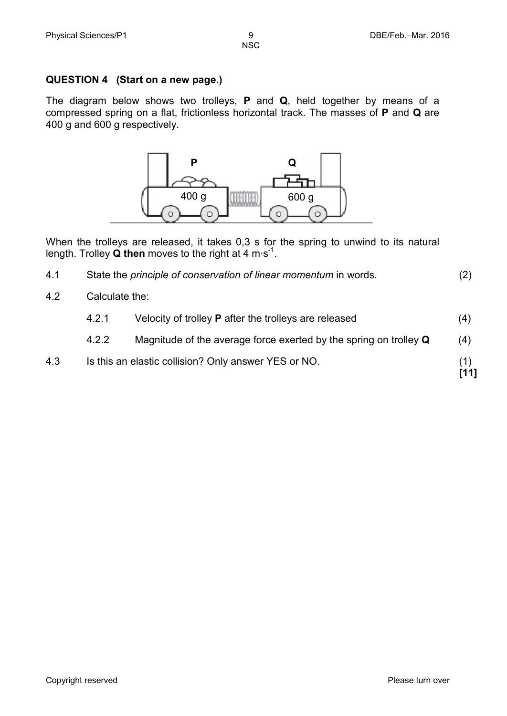## **QUESTION 4 (Start on a new page.)**

The diagram below shows two trolleys, **P** and **Q**, held together by means of a compressed spring on a flat, frictionless horizontal track. The masses of **P** and **Q** are 400 g and 600 g respectively.



When the trolleys are released, it takes 0,3 s for the spring to unwind to its natural length. Trolley **Q then** moves to the right at 4 m∙s-1 .

| 4.1 | State the principle of conservation of linear momentum in words. | (2) |
|-----|------------------------------------------------------------------|-----|
|-----|------------------------------------------------------------------|-----|

4.2 Calculate the:

| Velocity of trolley <b>P</b> after the trolleys are released<br>4.2.1 |  |
|-----------------------------------------------------------------------|--|
|-----------------------------------------------------------------------|--|

- 4.2.2 Magnitude of the average force exerted by the spring on trolley **Q** (4)
- 4.3 Is this an elastic collision? Only answer YES or NO. (1)

**[11]**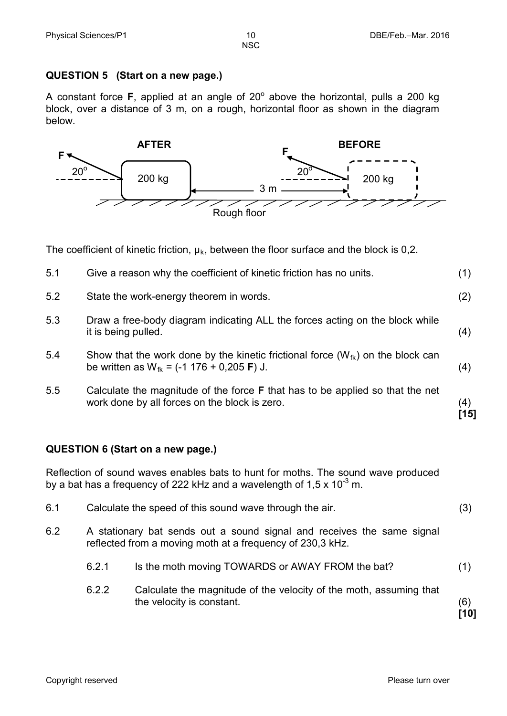#### **QUESTION 5 (Start on a new page.)**

A constant force  $F$ , applied at an angle of  $20^{\circ}$  above the horizontal, pulls a 200 kg block, over a distance of 3 m, on a rough, horizontal floor as shown in the diagram below.



The coefficient of kinetic friction,  $\mu_k$ , between the floor surface and the block is 0,2.

| 5.1                                                                                                                                                                  | Give a reason why the coefficient of kinetic friction has no units.                                                                                      | (1)           |
|----------------------------------------------------------------------------------------------------------------------------------------------------------------------|----------------------------------------------------------------------------------------------------------------------------------------------------------|---------------|
| 5.2                                                                                                                                                                  | State the work-energy theorem in words.                                                                                                                  | (2)           |
| 5.3                                                                                                                                                                  | Draw a free-body diagram indicating ALL the forces acting on the block while<br>it is being pulled.                                                      | (4)           |
| 5.4                                                                                                                                                                  | Show that the work done by the kinetic frictional force $(W_{fk})$ on the block can<br>be written as $W_{f_k} = (-1 \ 176 + 0.205 \text{ F}) \text{ J}.$ | (4)           |
| 5.5                                                                                                                                                                  | Calculate the magnitude of the force <b>F</b> that has to be applied so that the net<br>work done by all forces on the block is zero.                    | (4)<br>$[15]$ |
| <b>QUESTION 6 (Start on a new page.)</b>                                                                                                                             |                                                                                                                                                          |               |
| Reflection of sound waves enables bats to hunt for moths. The sound wave produced<br>by a bat has a frequency of 222 kHz and a wavelength of $1.5 \times 10^{-3}$ m. |                                                                                                                                                          |               |

6.2 A stationary bat sends out a sound signal and receives the same signal reflected from a moving moth at a frequency of 230,3 kHz.

6.1 Calculate the speed of this sound wave through the air. (3)

- 6.2.1 Is the moth moving TOWARDS or AWAY FROM the bat? (1)
- 6.2.2 Calculate the magnitude of the velocity of the moth, assuming that the velocity is constant. (6)

**[10]**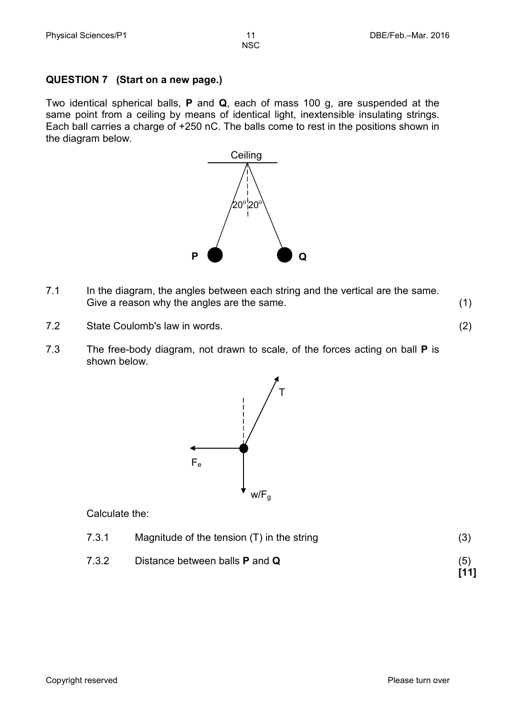#### **QUESTION 7 (Start on a new page.)**

Two identical spherical balls, **P** and **Q**, each of mass 100 g, are suspended at the same point from a ceiling by means of identical light, inextensible insulating strings. Each ball carries a charge of +250 nC. The balls come to rest in the positions shown in the diagram below.



- 7.1 In the diagram, the angles between each string and the vertical are the same. Give a reason why the angles are the same. (1)
- 7.2 State Coulomb's law in words. (2)
- 7.3 The free-body diagram, not drawn to scale, of the forces acting on ball **P** is shown below.



Calculate the:

| 7.3.1<br>Magnitude of the tension $(T)$ in the string |  |
|-------------------------------------------------------|--|
|-------------------------------------------------------|--|

7.3.2 Distance between balls **P** and **Q** (5) **[11]**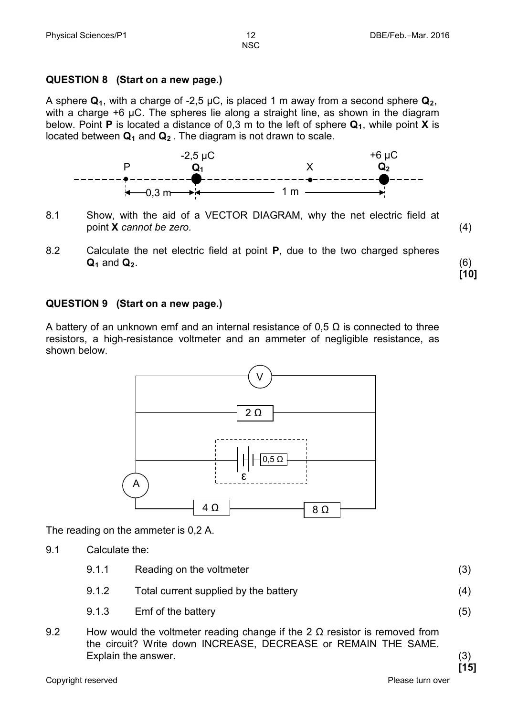#### **QUESTION 8 (Start on a new page.)**

A sphere  $\mathbf{Q}_1$ , with a charge of -2,5  $\mu$ C, is placed 1 m away from a second sphere  $\mathbf{Q}_2$ , with a charge +6 μC. The spheres lie along a straight line, as shown in the diagram below. Point **P** is located a distance of 0,3 m to the left of sphere  $Q_1$ , while point **X** is located between  $\mathbf{Q}_1$  and  $\mathbf{Q}_2$ . The diagram is not drawn to scale.



- 8.1 Show, with the aid of a VECTOR DIAGRAM, why the net electric field at point **X** *cannot be zero.* (4)
- 8.2 Calculate the net electric field at point **P**, due to the two charged spheres **Q**<sub>1</sub> and **Q**<sub>2</sub>. (6)

**[10]**

#### **QUESTION 9 (Start on a new page.)**

A battery of an unknown emf and an internal resistance of 0,5  $\Omega$  is connected to three resistors, a high-resistance voltmeter and an ammeter of negligible resistance, as shown below.



The reading on the ammeter is 0,2 A.

- 9.1 Calculate the:
	- 9.1.1 Reading on the voltmeter (3)
	- 9.1.2 Total current supplied by the battery (4)
	- 9.1.3 Emf of the battery (5)
- 9.2 How would the voltmeter reading change if the  $2 \Omega$  resistor is removed from the circuit? Write down INCREASE, DECREASE or REMAIN THE SAME. Explain the answer. (3)

**[15]**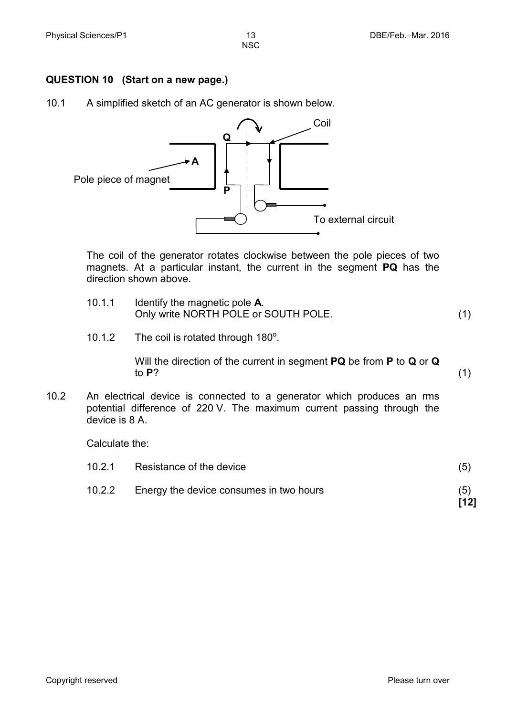#### **QUESTION 10 (Start on a new page.)**

10.1 A simplified sketch of an AC generator is shown below.



The coil of the generator rotates clockwise between the pole pieces of two magnets. At a particular instant, the current in the segment **PQ** has the direction shown above.

- 10.1.1 Identify the magnetic pole **A**. Only write NORTH POLE or SOUTH POLE. (1)
- 10.1.2 The coil is rotated through  $180^\circ$ .

Will the direction of the current in segment **PQ** be from **P** to **Q** or **Q** to **P**? (1)

10.2 An electrical device is connected to a generator which produces an rms potential difference of 220 V. The maximum current passing through the device is 8 A.

Calculate the:

| 10.2.1 | Resistance of the device                | (5)  |
|--------|-----------------------------------------|------|
| 10.2.2 | Energy the device consumes in two hours | (5)  |
|        |                                         | [12] |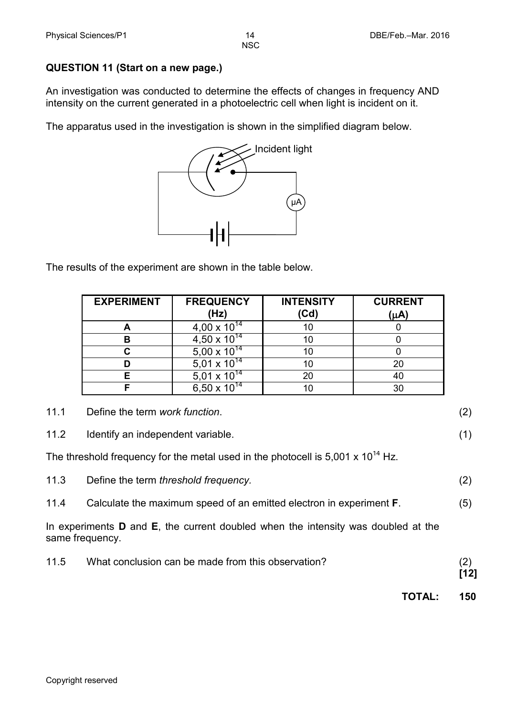### **QUESTION 11 (Start on a new page.)**

An investigation was conducted to determine the effects of changes in frequency AND intensity on the current generated in a photoelectric cell when light is incident on it.

The apparatus used in the investigation is shown in the simplified diagram below.



The results of the experiment are shown in the table below.

| <b>EXPERIMENT</b> | <b>FREQUENCY</b><br>(Hz) | <b>INTENSITY</b><br>(Cd) | <b>CURRENT</b><br>(µA) |
|-------------------|--------------------------|--------------------------|------------------------|
|                   | 4,00 x $10^{14}$         |                          |                        |
| в                 | 4,50 x $10^{14}$         | 10                       |                        |
|                   | $5,00 \times 10^{14}$    |                          |                        |
|                   | $5,01 \times 10^{14}$    |                          | 20                     |
| F                 | 5,01 x $10^{14}$         | 20                       | 40                     |
|                   | $6,50 \times 10^{14}$    |                          | 30                     |

| 11.1 | Define the term work function. |  |
|------|--------------------------------|--|
|      |                                |  |

11.2 Identify an independent variable. (1) (1)

The threshold frequency for the metal used in the photocell is  $5,001 \times 10^{14}$  Hz.

| 11.3 | Define the term threshold frequency. |  |
|------|--------------------------------------|--|
|------|--------------------------------------|--|

11.4 Calculate the maximum speed of an emitted electron in experiment **F**. (5)

In experiments **D** and **E**, the current doubled when the intensity was doubled at the same frequency.

| 11.5 | What conclusion can be made from this observation? |      |
|------|----------------------------------------------------|------|
|      |                                                    | [12] |

**TOTAL: 150**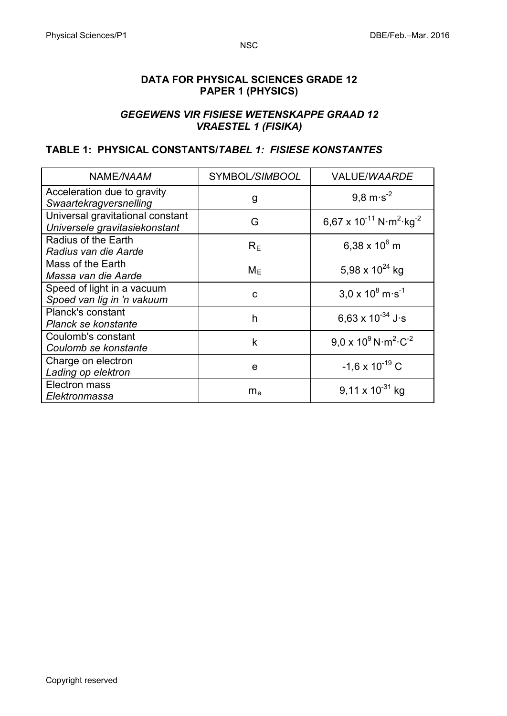#### **DATA FOR PHYSICAL SCIENCES GRADE 12 PAPER 1 (PHYSICS)**

#### *GEGEWENS VIR FISIESE WETENSKAPPE GRAAD 12 VRAESTEL 1 (FISIKA)*

#### **TABLE 1: PHYSICAL CONSTANTS/***TABEL 1: FISIESE KONSTANTES*

| NAME/NAAM                                                         | SYMBOL/SIMBOOL | VALUE/WAARDE                                         |
|-------------------------------------------------------------------|----------------|------------------------------------------------------|
| Acceleration due to gravity<br>Swaartekragversnelling             | g              | $9,8 \text{ m} \cdot \text{s}^{-2}$                  |
| Universal gravitational constant<br>Universele gravitasiekonstant | G              | 6,67 x $10^{-11}$ N·m <sup>2</sup> ·kg <sup>-2</sup> |
| Radius of the Earth<br>Radius van die Aarde                       | $R_E$          | 6,38 x $10^6$ m                                      |
| Mass of the Earth<br>Massa van die Aarde                          | $M_F$          | 5,98 x $10^{24}$ kg                                  |
| Speed of light in a vacuum<br>Spoed van lig in 'n vakuum          | C              | $3.0 \times 10^8$ m s <sup>-1</sup>                  |
| Planck's constant<br>Planck se konstante                          | h              | 6.63 x $10^{-34}$ J s                                |
| Coulomb's constant<br>Coulomb se konstante                        | $\mathsf k$    | $9.0 \times 10^9$ N $\text{m}^2 \text{ C}^{-2}$      |
| Charge on electron<br>Lading op elektron                          | e              | $-1,6 \times 10^{-19}$ C                             |
| Electron mass<br>Elektronmassa                                    | $m_e$          | $9,11 \times 10^{-31}$ kg                            |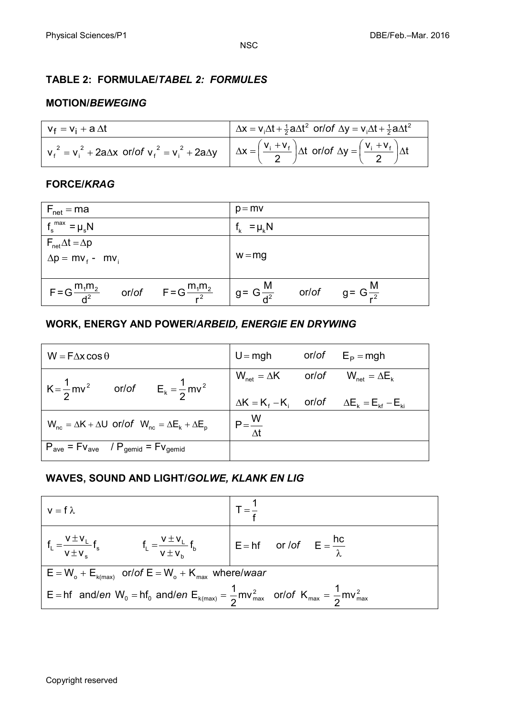#### **TABLE 2: FORMULAE/***TABEL 2: FORMULES*

#### **MOTION/***BEWEGING*

| $v_f = v_i + a \Delta t$                                                                                                                                                          | $\Delta x = v_1 \Delta t + \frac{1}{2} a \Delta t^2$ or/of $\Delta y = v_1 \Delta t + \frac{1}{2} a \Delta t^2$ |
|-----------------------------------------------------------------------------------------------------------------------------------------------------------------------------------|-----------------------------------------------------------------------------------------------------------------|
| $v_f^2 = v_i^2 + 2a\Delta x$ or/of $v_f^2 = v_i^2 + 2a\Delta y$ $\Delta x = \left(\frac{v_i + v_f}{2}\right)\Delta t$ or/of $\Delta y = \left(\frac{v_i + v_f}{2}\right)\Delta t$ |                                                                                                                 |

#### **FORCE/***KRAG*

| $F_{\text{net}} = ma$                                         | $p = mv$                                                                                                 |
|---------------------------------------------------------------|----------------------------------------------------------------------------------------------------------|
| $f_s^{\text{max}} = \mu_s N$                                  | $f_k = \mu_k N$                                                                                          |
| $F_{\text{net}}\Delta t = \Delta p$                           |                                                                                                          |
| $\Delta p = m v_f - m v_i$                                    | $w = mg$                                                                                                 |
|                                                               |                                                                                                          |
| $F = G \frac{m_1 m_2}{d^2}$ or/of $F = G \frac{m_1 m_2}{r^2}$ | $\left  \begin{array}{ccc} g = G \frac{M}{d^2} & \text{or/of} & g = G \frac{M}{r^2} \end{array} \right $ |

#### **WORK, ENERGY AND POWER/***ARBEID, ENERGIE EN DRYWING*

| $W = F\Delta x \cos \theta$                                                 | $U = mgh$ or/of $E_p = mgh$                                                                                                                              |                                                             |
|-----------------------------------------------------------------------------|----------------------------------------------------------------------------------------------------------------------------------------------------------|-------------------------------------------------------------|
| $K = \frac{1}{2}mv^2$ or/of $E_k = \frac{1}{2}mv^2$                         | $\mathsf{W}_{\mathsf{net}} = \Delta \mathsf{K} \qquad \quad \mathsf{or} / \mathsf{of} \qquad \mathsf{W}_{\mathsf{net}} = \Delta \mathsf{E}_{\mathsf{k}}$ |                                                             |
|                                                                             |                                                                                                                                                          | $\Delta K = K_f - K_i$ or/of $\Delta E_k = E_{kt} - E_{ki}$ |
| $W_{nc} = \Delta K + \Delta U$ or/of $W_{nc} = \Delta E_k + \Delta E_p$     | $P = \frac{W}{\Delta t}$                                                                                                                                 |                                                             |
| $P_{\text{ave}} = Fv_{\text{ave}}$ / $P_{\text{gemid}} = Fv_{\text{gemid}}$ |                                                                                                                                                          |                                                             |

#### **WAVES, SOUND AND LIGHT/***GOLWE, KLANK EN LIG*

| $v = f \lambda$                                                                                                                      |  |  |  |
|--------------------------------------------------------------------------------------------------------------------------------------|--|--|--|
| $f_L = \frac{v \pm v_L}{v \pm v_s} f_s$ $f_L = \frac{v \pm v_L}{v \pm v_s} f_b$ $E = hf$ or /of $E = \frac{hc}{\lambda}$             |  |  |  |
| $E = W_o + E_{k(max)}$ or/of $E = W_o + K_{max}$ where/waar                                                                          |  |  |  |
| $E = hf$ and/en W <sub>0</sub> = hf <sub>0</sub> and/en $E_{k(max)} = \frac{1}{2}mv_{max}^2$ or/of $K_{max} = \frac{1}{2}mv_{max}^2$ |  |  |  |